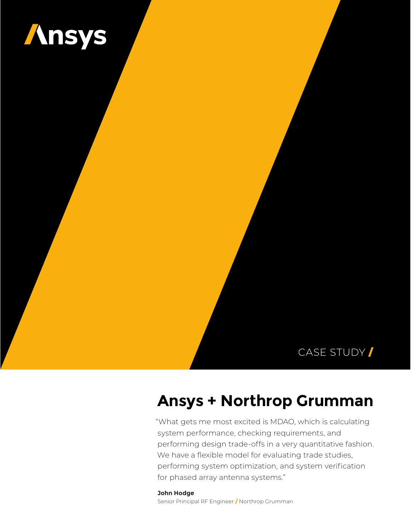

### CASE STUDY /

# **Ansys + Northrop Grumman**

"What gets me most excited is MDAO, which is calculating system performance, checking requirements, and performing design trade-offs in a very quantitative fashion. We have a flexible model for evaluating trade studies, performing system optimization, and system verification for phased array antenna systems."

**John Hodge** Senior Principal RF Engineer / Northrop Grumman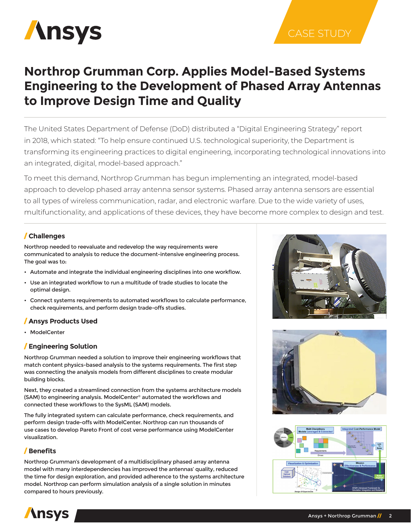

### CASE STUDY

## **Northrop Grumman Corp. Applies Model-Based Systems Engineering to the Development of Phased Array Antennas to Improve Design Time and Quality**

The United States Department of Defense (DoD) distributed a "Digital Engineering Strategy" report in 2018, which stated: "To help ensure continued U.S. technological superiority, the Department is transforming its engineering practices to digital engineering, incorporating technological innovations into an integrated, digital, model-based approach."

To meet this demand, Northrop Grumman has begun implementing an integrated, model-based approach to develop phased array antenna sensor systems. Phased array antenna sensors are essential to all types of wireless communication, radar, and electronic warfare. Due to the wide variety of uses, multifunctionality, and applications of these devices, they have become more complex to design and test.

#### / **Challenges**

Northrop needed to reevaluate and redevelop the way requirements were communicated to analysis to reduce the document-intensive engineering process. The goal was to:

- • Automate and integrate the individual engineering disciplines into one workflow.
- Use an integrated workflow to run a multitude of trade studies to locate the optimal design.
- • Connect systems requirements to automated workflows to calculate performance, check requirements, and perform design trade-offs studies.

#### / **Ansys Products Used**

• ModelCenter

#### / **Engineering Solution**

Northrop Grumman needed a solution to improve their engineering workflows that match content physics-based analysis to the systems requirements. The first step was connecting the analysis models from different disciplines to create modular building blocks.

Next, they created a streamlined connection from the systems architecture models (SAM) to engineering analysis. ModelCenter® automated the workflows and connected these workflows to the SysML (SAM) models.

The fully integrated system can calculate performance, check requirements, and perform design trade-offs with ModelCenter. Northrop can run thousands of use cases to develop Pareto Front of cost verse performance using ModelCenter visualization.

#### / **Benefits**

Northrop Grumman's development of a multidisciplinary phased array antenna model with many interdependencies has improved the antennas' quality, reduced the time for design exploration, and provided adherence to the systems architecture model. Northrop can perform simulation analysis of a single solution in minutes compared to hours previously.